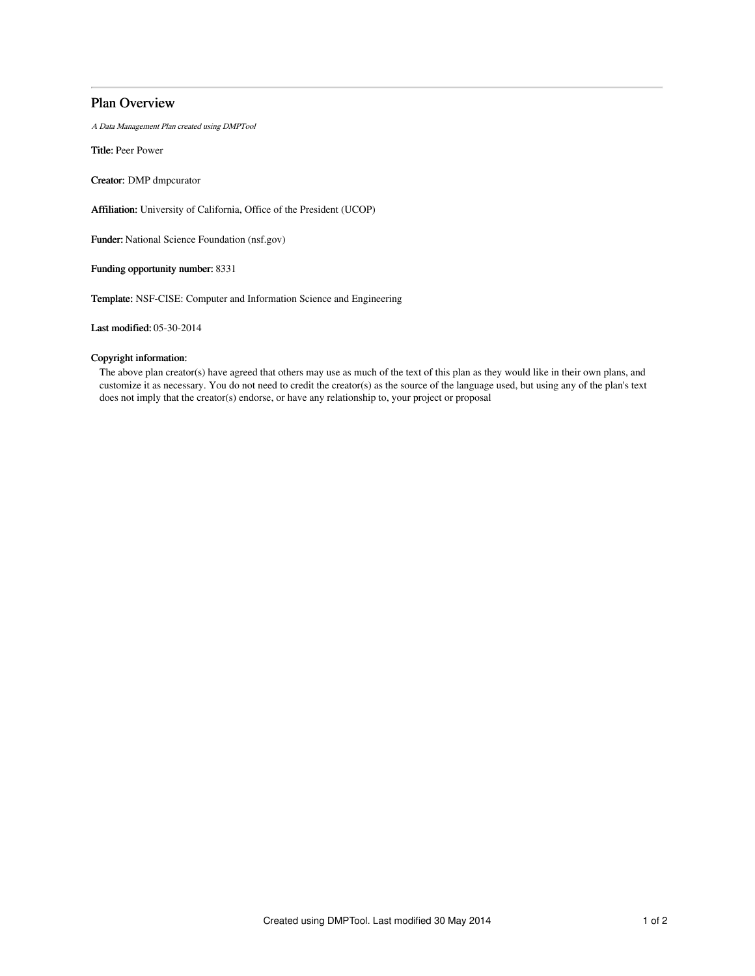# Plan Overview

A Data Management Plan created using DMPTool

Title: Peer Power

Creator: DMP dmpcurator

Affiliation: University of California, Office of the President (UCOP)

Funder: National Science Foundation (nsf.gov)

Funding opportunity number: 8331

Template: NSF-CISE: Computer and Information Science and Engineering

Last modified: 05-30-2014

## Copyright information:

The above plan creator(s) have agreed that others may use as much of the text of this plan as they would like in their own plans, and customize it as necessary. You do not need to credit the creator(s) as the source of the language used, but using any of the plan's text does not imply that the creator(s) endorse, or have any relationship to, your project or proposal